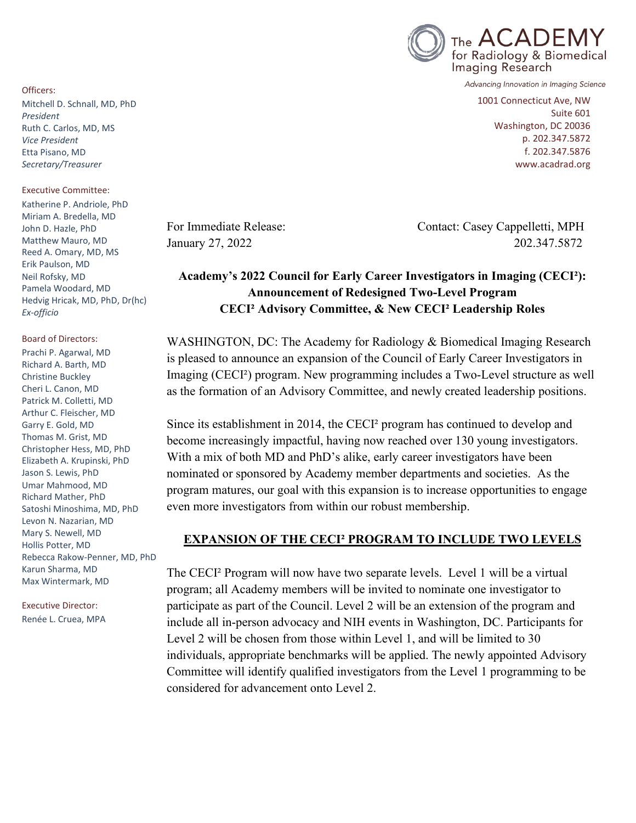

Advancing Innovation in Imaging Science

1001 Connecticut Ave, NW Suite 601 Washington, DC 20036 p. 202.347.5872 f. 202.347.5876 www.acadrad.org

For Immediate Release: Contact: Casey Cappelletti, MPH January 27, 2022 202.347.5872

#### **Academy's 2022 Council for Early Career Investigators in Imaging (CECI²): Announcement of Redesigned Two-Level Program CECI² Advisory Committee, & New CECI² Leadership Roles**

WASHINGTON, DC: The Academy for Radiology & Biomedical Imaging Research is pleased to announce an expansion of the Council of Early Career Investigators in Imaging (CECI²) program. New programming includes a Two-Level structure as well as the formation of an Advisory Committee, and newly created leadership positions.

Since its establishment in 2014, the CECI² program has continued to develop and become increasingly impactful, having now reached over 130 young investigators. With a mix of both MD and PhD's alike, early career investigators have been nominated or sponsored by Academy member departments and societies. As the program matures, our goal with this expansion is to increase opportunities to engage even more investigators from within our robust membership.

#### **EXPANSION OF THE CECI² PROGRAM TO INCLUDE TWO LEVELS**

The CECI² Program will now have two separate levels. Level 1 will be a virtual program; all Academy members will be invited to nominate one investigator to participate as part of the Council. Level 2 will be an extension of the program and include all in-person advocacy and NIH events in Washington, DC. Participants for Level 2 will be chosen from those within Level 1, and will be limited to 30 individuals, appropriate benchmarks will be applied. The newly appointed Advisory Committee will identify qualified investigators from the Level 1 programming to be considered for advancement onto Level 2.

Officers: Mitchell D. Schnall, MD, PhD *President* Ruth C. Carlos, MD, MS *Vice President* Etta Pisano, MD *Secretary/Treasurer*

Executive Committee:

Katherine P. Andriole, PhD Miriam A. Bredella, MD John D. Hazle, PhD Matthew Mauro, MD Reed A. Omary, MD, MS Erik Paulson, MD Neil Rofsky, MD Pamela Woodard, MD Hedvig Hricak, MD, PhD, Dr(hc) *Ex-officio*

Board of Directors: Prachi P. Agarwal, MD Richard A. Barth, MD Christine Buckley Cheri L. Canon, MD Patrick M. Colletti, MD Arthur C. Fleischer, MD Garry E. Gold, MD Thomas M. Grist, MD Christopher Hess, MD, PhD Elizabeth A. Krupinski, PhD Jason S. Lewis, PhD Umar Mahmood, MD Richard Mather, PhD Satoshi Minoshima, MD, PhD Levon N. Nazarian, MD Mary S. Newell, MD Hollis Potter, MD Rebecca Rakow-Penner, MD, PhD Karun Sharma, MD Max Wintermark, MD

Executive Director: Renée L. Cruea, MPA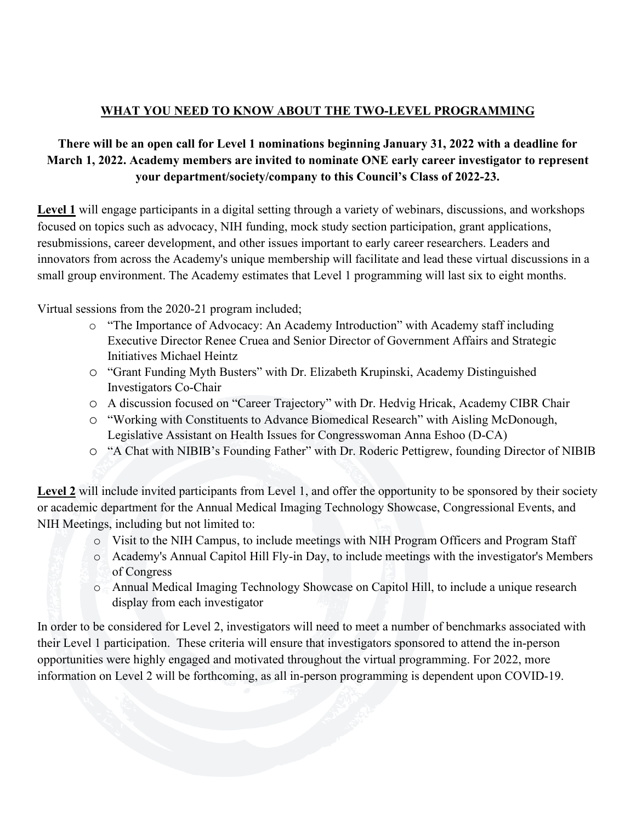# **WHAT YOU NEED TO KNOW ABOUT THE TWO-LEVEL PROGRAMMING**

# **There will be an open call for Level 1 nominations beginning January 31, 2022 with a deadline for March 1, 2022. Academy members are invited to nominate ONE early career investigator to represent your department/society/company to this Council's Class of 2022-23.**

**Level 1** will engage participants in a digital setting through a variety of webinars, discussions, and workshops focused on topics such as advocacy, NIH funding, mock study section participation, grant applications, resubmissions, career development, and other issues important to early career researchers. Leaders and innovators from across the Academy's unique membership will facilitate and lead these virtual discussions in a small group environment. The Academy estimates that Level 1 programming will last six to eight months.

Virtual sessions from the 2020-21 program included;

- o "The Importance of Advocacy: An Academy Introduction" with Academy staff including Executive Director Renee Cruea and Senior Director of Government Affairs and Strategic Initiatives Michael Heintz
- o "Grant Funding Myth Busters" with Dr. Elizabeth Krupinski, Academy Distinguished Investigators Co-Chair
- o A discussion focused on "Career Trajectory" with Dr. Hedvig Hricak, Academy CIBR Chair
- o "Working with Constituents to Advance Biomedical Research" with Aisling McDonough, Legislative Assistant on Health Issues for Congresswoman Anna Eshoo (D-CA)
- o "A Chat with NIBIB's Founding Father" with Dr. Roderic Pettigrew, founding Director of NIBIB

**Level 2** will include invited participants from Level 1, and offer the opportunity to be sponsored by their society or academic department for the Annual Medical Imaging Technology Showcase, Congressional Events, and NIH Meetings, including but not limited to:

- o Visit to the NIH Campus, to include meetings with NIH Program Officers and Program Staff
- o Academy's Annual Capitol Hill Fly-in Day, to include meetings with the investigator's Members of Congress
- o Annual Medical Imaging Technology Showcase on Capitol Hill, to include a unique research display from each investigator

In order to be considered for Level 2, investigators will need to meet a number of benchmarks associated with their Level 1 participation. These criteria will ensure that investigators sponsored to attend the in-person opportunities were highly engaged and motivated throughout the virtual programming. For 2022, more information on Level 2 will be forthcoming, as all in-person programming is dependent upon COVID-19.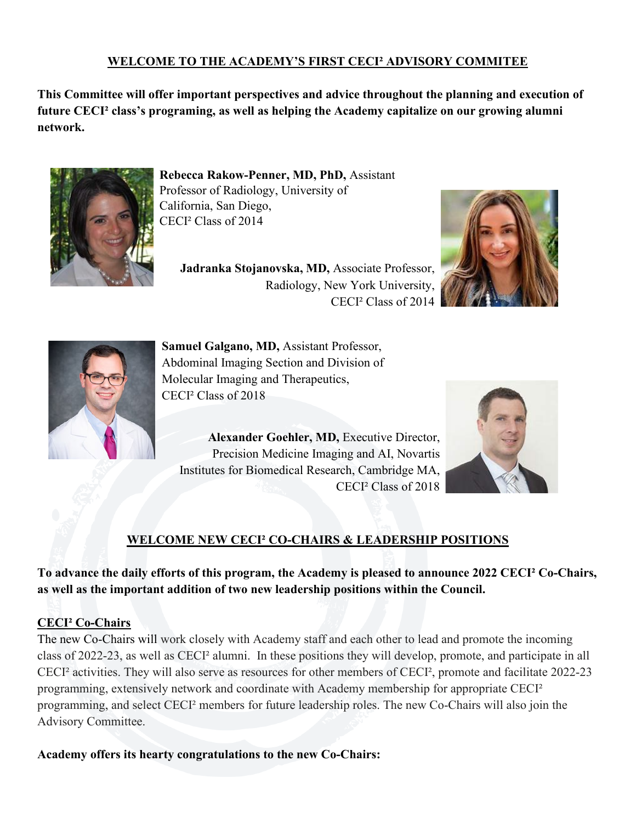## **WELCOME TO THE ACADEMY'S FIRST CECI² ADVISORY COMMITEE**

**This Committee will offer important perspectives and advice throughout the planning and execution of future CECI² class's programing, as well as helping the Academy capitalize on our growing alumni network.**



**Rebecca Rakow-Penner, MD, PhD,** Assistant Professor of Radiology, University of California, San Diego, CECI² Class of 2014

**Jadranka Stojanovska, MD,** Associate Professor, Radiology, New York University, CECI² Class of 2014





**Samuel Galgano, MD,** Assistant Professor, Abdominal Imaging Section and Division of Molecular Imaging and Therapeutics, CECI² Class of 2018

**Alexander Goehler, MD,** Executive Director, Precision Medicine Imaging and AI, Novartis Institutes for Biomedical Research, Cambridge MA, CECI² Class of 2018



# **WELCOME NEW CECI² CO-CHAIRS & LEADERSHIP POSITIONS**

**To advance the daily efforts of this program, the Academy is pleased to announce 2022 CECI² Co-Chairs, as well as the important addition of two new leadership positions within the Council.**

### **CECI² Co-Chairs**

The new Co-Chairs will work closely with Academy staff and each other to lead and promote the incoming class of 2022-23, as well as CECI² alumni. In these positions they will develop, promote, and participate in all CECI² activities. They will also serve as resources for other members of CECI², promote and facilitate 2022-23 programming, extensively network and coordinate with Academy membership for appropriate CECI² programming, and select CECI² members for future leadership roles. The new Co-Chairs will also join the Advisory Committee.

**Academy offers its hearty congratulations to the new Co-Chairs:**